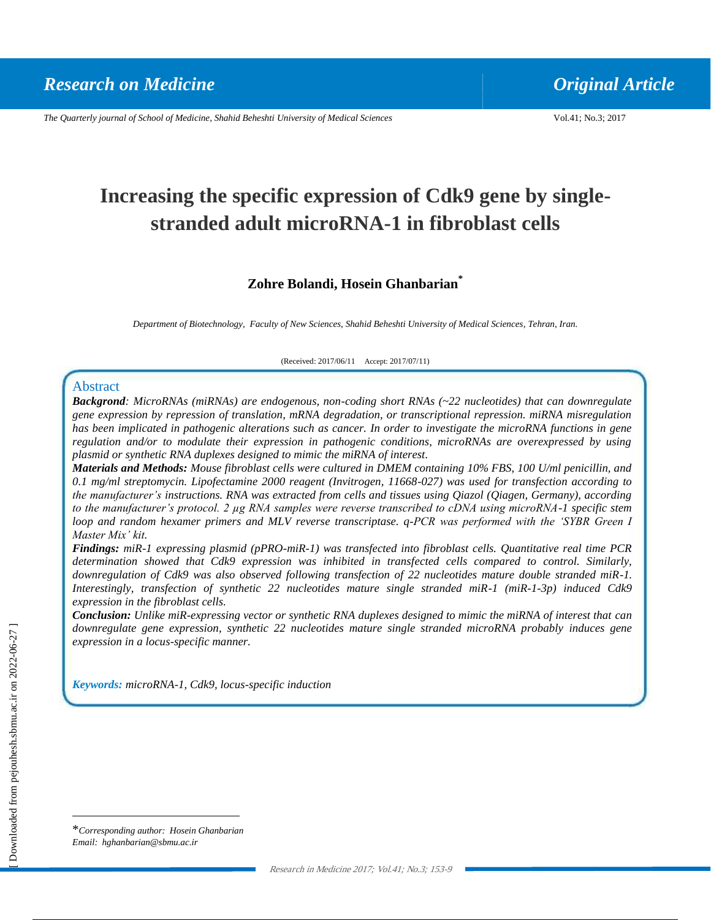*The Quarterly journal of School of Medicine, Shahid Beheshti University of Medical Sciences* Vol.41; No.3; 2017

# **Increasing the specific expression of Cdk9 gene by singlestranded adult microRNA-1 in fibroblast cells**

### **Zohre Bolandi, Hosein Ghanbarian\***

*Department of Biotechnology, Faculty of New Sciences, Shahid Beheshti University of Medical Sciences, Tehran, Iran.*

(Received: 2017/06/11 Accept: 2017/07/11)

#### Abstract

*Backgrond: MicroRNAs (miRNAs) are endogenous, non-coding short RNAs (~22 nucleotides) that can downregulate gene expression by repression of translation, mRNA degradation, or transcriptional repression. miRNA misregulation has been implicated in pathogenic alterations such as cancer. In order to investigate the microRNA functions in gene regulation and/or to modulate their expression in pathogenic conditions, microRNAs are overexpressed by using plasmid or synthetic RNA duplexes designed to mimic the miRNA of interest.*

*Materials and Methods: Mouse fibroblast cells were cultured in DMEM containing 10% FBS, 100 U/ml penicillin, and 0.1 mg/ml streptomycin. Lipofectamine 2000 reagent (Invitrogen, 11668-027) was used for transfection according to the manufacturer's instructions. RNA was extracted from cells and tissues using Qiazol (Qiagen, Germany), according to the manufacturer's protocol. 2 µg RNA samples were reverse transcribed to cDNA using microRNA-1 specific stem loop and random hexamer primers and MLV reverse transcriptase. q-PCR was performed with the 'SYBR Green I Master Mix' kit.*

*Findings: miR-1 expressing plasmid (pPRO-miR-1) was transfected into fibroblast cells. Quantitative real time PCR determination showed that Cdk9 expression was inhibited in transfected cells compared to control. Similarly, downregulation of Cdk9 was also observed following transfection of 22 nucleotides mature double stranded miR-1. Interestingly, transfection of synthetic 22 nucleotides mature single stranded miR-1 (miR-1-3p) induced Cdk9 expression in the fibroblast cells.*

*Conclusion: Unlike miR-expressing vector or synthetic RNA duplexes designed to mimic the miRNA of interest that can downregulate gene expression, synthetic 22 nucleotides mature single stranded microRNA probably induces gene expression in a locus-specific manner.*

*Keywords: microRNA-1, Cdk9, locus-specific induction*

 $\overline{a}$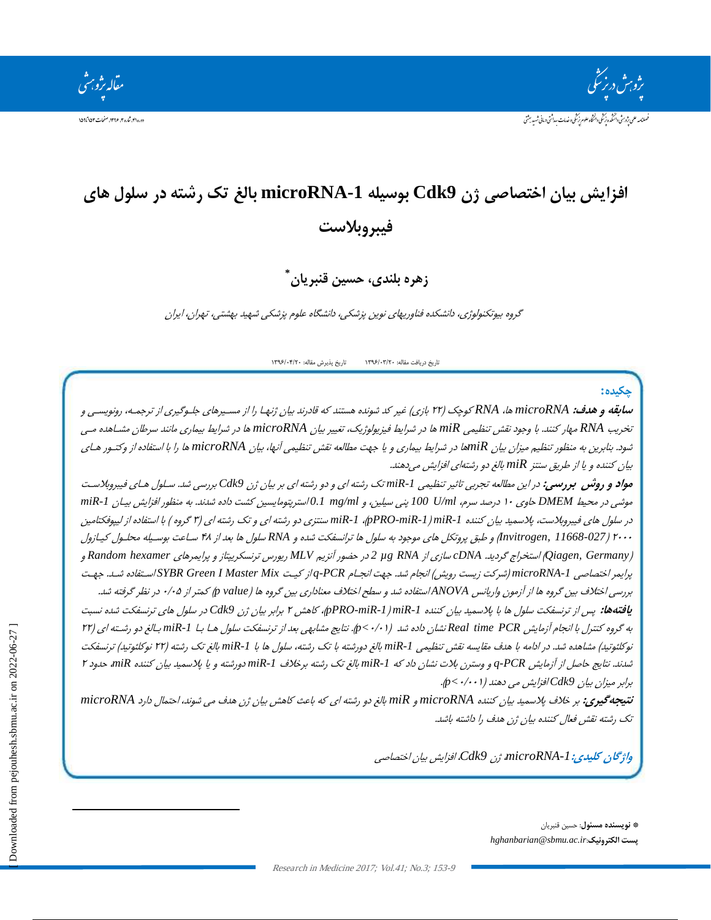.<br>مقاله تژو<sup>م</sup>

# **افسایص بیبن اختصبصی شن 9Cdk بوسیله -1microRNA ببلغ تک رضته در سلول هبی فیبروبالست**

**\* زهره بلنذی، حسین قنبریبن**

گروه بیوتکنولوژی، دانشکده فناوریهای نوین پزشکی، دانشگاه علوم پزشکی شهید بهشتی، تهران، ایران

تاریخ دریافت مقاله: ۱۳۹۶/۰۳/۲۰ تاریخ پذیرش مقاله: ۱۳۹۶/۰۴/۲۰

#### **چكیذه:**

س**ابقه و هدف:** microRNA ها، RNA کوچک (۲۲ بازی) غیر کد شونده هستند که قادرند بیان ژنها را از مسـیرهای جلـوگیری از ترجمـه، رونویسـی و تخریب RNA مهار کنند. با وجود نقش تنظیمی miR ها در شرایط فیزیولوژیک، تغییر بیان microRNA ها در شرایط بیماری مانند سرطان مشـاهده مــی ثیود. بنابرین به منظور تنظیم میزان بیان miRها در شرایط بیماری و یا جهت مطالعه نقش تنظیمی آنها، بیان microRNA ها را با استفاده از وکتـور هـای بیان کننده و یا از طریق سنتز miR بالغ دو رشتهای افزایش میدهند.

مواد و روشن بررسی: در این مطالعه تجربی تاثیر تنظیمی miR-1 تک رشته ای و دو رشته ای بر بیان ژن Cdk9 بررسی شد. سـلول هـای فیبروبلاست هوشی در محیط DMEM حاوی ۱۰ درصد سرم، 100 U/ml پنی سیلین، و 0.1 mg/ml/سپتومایسین کشت داده شدند. به منظور افزایش بیـان miR-1 در سلول های فیبروبلاست، پلاسمید بیان کننده pPRO-miR-1 )، 1miR-1 سنتزی دو رشته ای و تک رشته ای (۳ گروه ) با استفاده از لیپوفکتامین <sup>2000</sup> )*11668-027 ,Invitrogen* )ٍ عجك پشٍتکل ّبی هَخَد ثِ ػلَ ّب تشاًؼفکت ؿذُ ٍ *RNA* ػلَ ّب ثؼذ اص 48 ػابػت ثَػایلِ هحلاَ کیابصٍ )*Germany ,Qiagen* )اػتخشاج گشدیذ. *cDNA* ػبصی اص *RNA µg 2* دس حضَس آًضین *MLV* سیَسع تشًؼکشیپتبص ٍ پشایوشّبی *hexamer Random* ٍ پرایمر اختصاصی microRNA-1 (شرکت زیست رویش) انجام شد. جهت انجـام PCR-q از کیـت SYBR Green I Master Mixاسـتفاده شـد. جهـت بررسی *اختلاف بین گروه ها از آزمون واریانس ANOVA استفاده شد و سطح اختلاف معناداری بین گروه ها (p value ) کمتر از ۰/۰۵ در نظر گرفته شد.* **یافتهها:** پس از ترنسفکت سلول ها با پلاسمید بیان کننده PRO-miR-1 )miR-1ش کاهش ۲ برابر بیان ثرن Cdk9 در سلول های ترنسفکت شده نسبت به گروه کنترل با انجام آزمایش Real time PCR نشان داده شد (p<٠/٠١). نتایج مشابهی بعد از ترنسفکت سلول هـا بـا 1miR-1 بـالغ دو رشـته ای (r۲

نوکلئوتید) مشاهده شد. در ادامه با هدف مقایسه نقش تنظیمی miR-1 بالغ دورشته با تک رشته، سلول ها با miR-1 بالغ تک رشته (۲۲ نوکلئوتید) ترنسفکت ثسدند. نتایج حاصل از آزمایش PCR و وسترن بلات نشان داد که miR-1 بالغ تک رشته برخلاف miR-1 دورشته و یا پلاسمید بیان کننده miR حدود ۲ ثشاثش هیضاى ثیبى *9Cdk* افضایؾ هی دٌّذ )0/001*>p*).

**نتیجهگیری:** ثش ختف پتػویذ ثیبى کٌٌذُ *microRNA* ٍ *miR* ثبلغ دٍ سؿتِ ای کِ ثبػث کبّؾ ثیبى طى ّذف هی ؿًَذ، احتوب داسد *microRNA* تک رشته نقش فعال کننده بیان ژن هدف را داشته باشد.

واژگان كلیدی: 1-microRNA ژن Cdk9، افزایش بیان اختصاصی

**\* نویسنذه مسئول**: حؼیي لٌجشیبى *hghanbarian@sbmu.ac.ir*:**الكترونیک پست**

 $\overline{a}$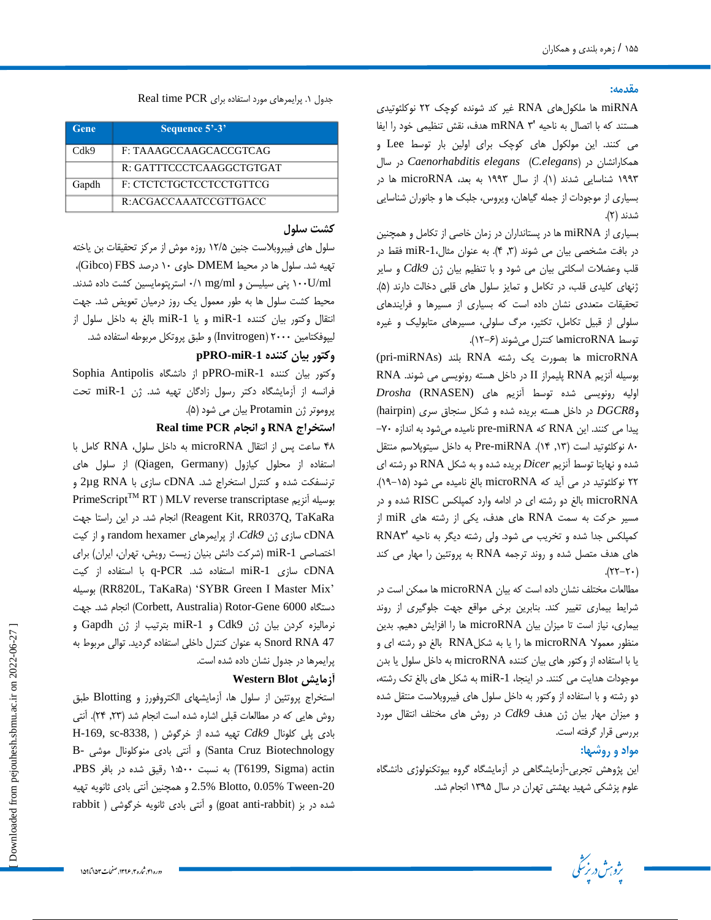#### **مقذمه:**

miRNA ها ملکولهای RNA غیر کد شونده کوچک ۲۲ نوکلئوتیدی هستند که با اتصال به ناحیه 'mRNA ۳ هدف، نقش تنظیمی خود را ایفا می کنند. این مولکول های کوچک برای اولین بار توسط Lee و ّوکبساًـبى دس )*elegans.C* )*elegans Caenorhabditis* دس ػب ۱۹۹۳ شناسایی شدند (۱). از سال ۱۹۹۳ به بعد، microRNA ها در بسیاری از موجودات از جمله گیاهان، ویروس، جلبک ها و جانوران شناسایی شدند (۲).

بسیاری از miRNA ها در پستانداران در زمان خاصی از تکامل و همچنین در بافت مشخصی بیان می شوند (۳, ۴). به عنوان مثال، miR-1 فقط در قلب وعضلات اسکلتی بیان می شود و با تنظیم بیان ژن Cdk9 و سایر ژنهای کلیدی قلب، در تکامل و تمایز سلول های قلبی دخالت دارند (۵). تحقیقات متعددی نشان داده است که بسیاری از مسیرها و فرایندهای سلولی از قبیل تکامل، تکثیر، مرگ سلولی، مسیرهای متابولیک و غیره توسط microRNAها کنترل میشوند (۶–۱۲).

microRNA ها بصورت یک رشته RNA بلند (pri-miRNAs RNA پلیمراز II در داخل هسته رونویسی می شوند. RNA اولیه رونویسی شده توسط آنزیم های (RNASEN *(* و*DGCR8* در داخل هسته بریده شده و شکل سنجاق سری (hairpin) پیدا می کنند. این RNA که pre-miRNA نامیده می شود به اندازه -۷-۸۰ نوکلئوتید است (۱۳, ۱۴). Pre-miRNA به داخل سیتوپلاسم منتقل شده و نهایتا توسط آنزیم *Dicer* بریده شده و به شکل RNA دو رشته ای 22 ًَکلئَتیذ دس هی آیذ کِ microRNA ثبلغ ًبهیذُ هی ؿَد )19-15(. microRNA بالغ دو رشته ای در ادامه وارد کمپلکس RISC شده و در هسیر حرکت به سمت RNA های هدف، یکی از رشته های miR از کمپلکس جدا شده و تخریب می شود. ولی رشته دیگر به ناحیه 'RNA۳ های هدف متصل شده و روند ترجمه RNA به پروتئین را مهار می کند  $(17-7)$ .

مطالعات مختلف نشان داده است که بیان microRNA ها ممکن است در شرایط بیماری تغییر کند. بنابرین برخی مواقع جهت جلوگیری از روند بیماری، نیاز است تا میزان بیان microRNA ها را افزایش دهیم. بدین منظور معمولا microRNA ها را یا به شکلRNA بالغ دو رشته ای و یا با استفاده از وکتور هاى بیان کننده microRNA به داخل سلول یا بدن موجودات هدایت می کنند. در اینجا، miR-1 به شکل های بالغ تک رشته، دو رشته و با استفاده از وکتور به داخل سلول های فیبروبلاست منتقل شده و میزان مهار بیان ژن هدف Cdk9 در روش های مختلف انتقال مورد بررسی قرار گرفته است.

#### **مواد و روضهب:**

این پژوهش تجربی-آزمایشگاهی در آزمایشگاه گروه بیوتکنولوژی دانشگاه علوم پزشکی شهید بهشتی تهران در سال ۱۳۹۵ انجام شد.



| Gene  | Sequence 5'-3'           |
|-------|--------------------------|
| Cdk9  | F: TAAAGCCAAGCACCGTCAG   |
|       | R: GATTTCCCTCAAGGCTGTGAT |
| Gapdh | F: CTCTCTGCTCCTCCTGTTCG  |
|       | R:ACGACCAAATCCGTTGACC    |

#### **کطت سلول**

سلول های فیبروبلاست جنین ۱۲/۵ روزه موش از مرکز تحقیقات بن یاخته تَهیه شد. سلول ها در محیط DMEM حاوی ۱۰ درصد Gibco) FBS( ۰/U/ml پنی سیلیسن و mg/ml ۰/۱ استرپتومایسین کشت داده شدند. محیط کشت سلول ها به طور معمول یک روز درمیان تعویض شد. جهت انتقال وکتور بیان کننده miR-1 و یا miR-1 بالغ به داخل سلول از لیپوفکتامین ۲۰۰۰ (Invitrogen) و طبق پروتکل مربوطه استفاده شد.

#### **وکتور بیبن کننذه -1miR-pPRO**

Sophia Antipolis از دانشگاه pPRO-miR-1 وکتور بیان کننده فرانسه از آزمایشگاه دکتر رسول زادگان تهیه شد. ژن miR-1 تحت پروموتر ژن Protamin بیان می شود (۵).

#### **Real time PCR انجبم و RNA استخراج**

۴۸ ساعت پس از انتقال microRNA به داخل سلول، RNA کامل با استفاده از محلول کیازول (Qiagen, Germany) از سلول های ترنسفکت شده و کنترل استخراج شد. cDNA سازی با 2µg RNA و PrimeScript<sup>TM</sup> RT ) MLV reverse transcriptase بوسیله آنزیم تبجام شد. در این راستا جهت (Reagent Kit, RR037Q, TaKaRa cDNA سازی ژن Cdk9، از پرایمرهای random hexamer و از کیت اختصاصی miR-1 (شرکت دانش بنیان زیست رویش، تهران، ایران) برای cDNA سازی miR-1 استفاده شد. q-PCR با استفاده از کیت ِػیلَث( RR820L, TaKaRa( 'SYBR Green I Master Mix' دستگاه 6000 Corbett, Australia) Rotor-Gene) انجام شد. جهت نرمالیزه کردن بیان ژن Cdk9 و miR-1 بترتیب از ژن Gapdh و 5nord RNA 47 بِه عنوان کنترل داخلی استفاده گردید. توالی مربوط به پرایمرها در جدول نشان داده شده است.

### **Western Blot آزمبیص**

استخراج پروتئین از سلول ها، آزمایشهای الکتروفورز و Blotting طبق روش هایی که در مطالعات قبلی اشاره شده است انجام شد (٢٣, ٢٣). آنتی H-169, sc-8338, ) تَیْمِیه شَده از خرگوش ( H-169, sc-8338, B- کاونال موشی) (Santa Cruz Biotechnology) و آنتی بادی منوکلونال actin( Sigma 6199,T )ثِ ًؼجت 1:500 سلیك ؿذُ دس ثبفش PBS، و همچنین آنتی بادی ثانویه تهیه 2.5% Blotto, 0.05% Tween-20 rabbit ) شده در بز (goat anti-rabbit) و آنتی بادی ثانویه خرگوشی

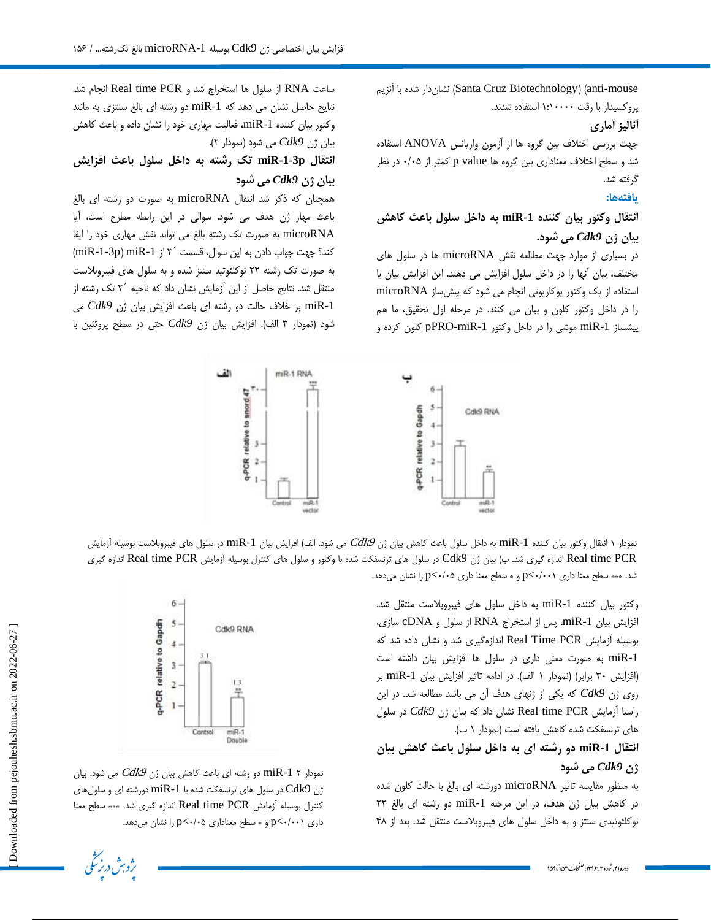تشان( ) (Santa Cruz Biotechnology) (anti-mouse پروکسیداز با رقت ۱:۱۰۰۰۰ استفاده شدند.

## **آنبلیس آمبری**

جَّهت بررسی اختلاف بین گروه ها از آزمون واریانس ANOVA استفاده شد و سطح اختلاف معناداری بین گروه ها p value کمتر از ۰/۰۵ در نظر گرفته شد.

### **یبفتههب:**

## **انتقبل وکتور بیبن کننذه -1miR به داخل سلول ببعث کبهص بیبن شن** *9Cdk* **می ضود.**

در بسیاری از موارد جهت مطالعه نقش microRNA ها در سلول های مختلف، بیان آنها را در داخل سلول افزایش می دهند. این افزایش بیان با استفاده از یک وکتور یوکاریوتی انجام می شود که پیش ساز microRNA را در داخل وکتور کلون و بیان می کنند. در مرحله اول تحقیق، ما هم پیشساز miR-1 موشی را در داخل وکتور pPRO-miR-1 کلون کرده و

ساعت RNA از سلول ها استخراج شد و Real time PCR انجام شد. نتایج حاصل نشان می دهد که miR-1 دو رشته ای بالغ سنتزی به مانند وکتور بیان کننده miR-1، فعالیت مهاری خود را نشان داده و باعث کاهش بیان ژن Cdk9 می شود (نمودار ۲).

**انتقبل p-1-3miR تک رضته به داخل سلول ببعث افسایص بیبن شن** *9Cdk* **می ضود**

همچنان که ذکر شد انتقال microRNA به صورت دو رشته ای بالغ باعث مهار ژن هدف می شود. سوالی در این رابطه مطرح است، آیا microRNA بِه صورت تک رشته بالغ می تواند نقش مهاری خود را ایفا کند؟ جهت جواب دادن به این سوال، قسمت '٣ از miR-1-3p) miR-1) به صورت تک رشته ٢٢ نوکلئوتید سنتز شده و به سلول های فیبروبلاست منتقل شد. نتایج حاصل از این آزمایش نشان داد که ناحیه ′۳ تک رشته از -1miR ثش ختف حبلت دٍ سؿتِ ای ثبػث افضایؾ ثیبى طى *9Cdk* هی شود (نمودار ۳ الف). افزایش بیان ژن Cdk9 حتی در سطح پروتئین با



نمودار ۱ انتقال وکتور بیان کننده miR-1 به داخل سلول باعث کاهش بیان ژن  $Cd$  می شود. الف) افزایش بیان miR-1 در سلول های فیبروبلاست بوسیله آزمایش Real time PCR اندازه گیری شد. ب) بیان ژن Cdk9 در سلول های ترنسفکت شده با وکتور و سلول های کنترل بوسیله أزمایش Real time PCR اندازه گیری شد. \*\*\* سطح معنا داری 1٠٠١٠>p و \* سطح معنا داری ۵٠/٠٥ با نشان میدهد.

> وکتور بیان کننده miR-1 به داخل سلول های فیبروبلاست منتقل شد. افزایش بیان miR-1، پس از استخراج RNA از سلول و cDNA سازی، بوسیله آزمایش Real Time PCR اندازهگیری شد و نشان داده شد که miR-1 به صورت معنی داری در سلول ها افزایش بیان داشته است (افزایش ٣٠ برابر) (نمودار ١ الف). در ادامه تاثیر افزایش بیان miR-1 بر روی ژن Cdk9 که یکی از ژنهای هدف آن می باشد مطالعه شد. در این راستا آزمایش Real time PCR نشان داد که بیان ژن Cdk9 در سلول های ترنسفکت شده کاهش یافته است (نمودار ١ ب).

# **انتقبل -1miR دو رضته ای به داخل سلول ببعث کبهص بیبن شن** *9Cdk* **می ضود**

بِه منظور مقایسه تاثیر microRNA دورشته ای بالغ با حالت کلون شده در کاهش بیان ژن هدف، در این مرحله miR-1 دو رشته ای بالغ ٢٢ نوکلئوتیدی سنتز و به داخل سلول های فیبروبلاست منتقل شد. بعد از ۴۸



نمودار 1  $\mathop{\rm mi}$ 2 دو رشته ای باعث کاهش بیان ژن  $Cd\mathcal{k}$  می شود. بیان رن  $\rm{Cdk}$  در سلول های ترنسفکت شده با miR-1 دورشته ای و سلول های  $\rm{Cdk}$ کنترل بوسیله آزمایش Real time PCR اندازه گیری شد. \*\*\* سطح معنا داری  $P<\cdots$ +>p و $*$  سطح معناداری ۵ $P<\cdots$  را نشان میدهد.

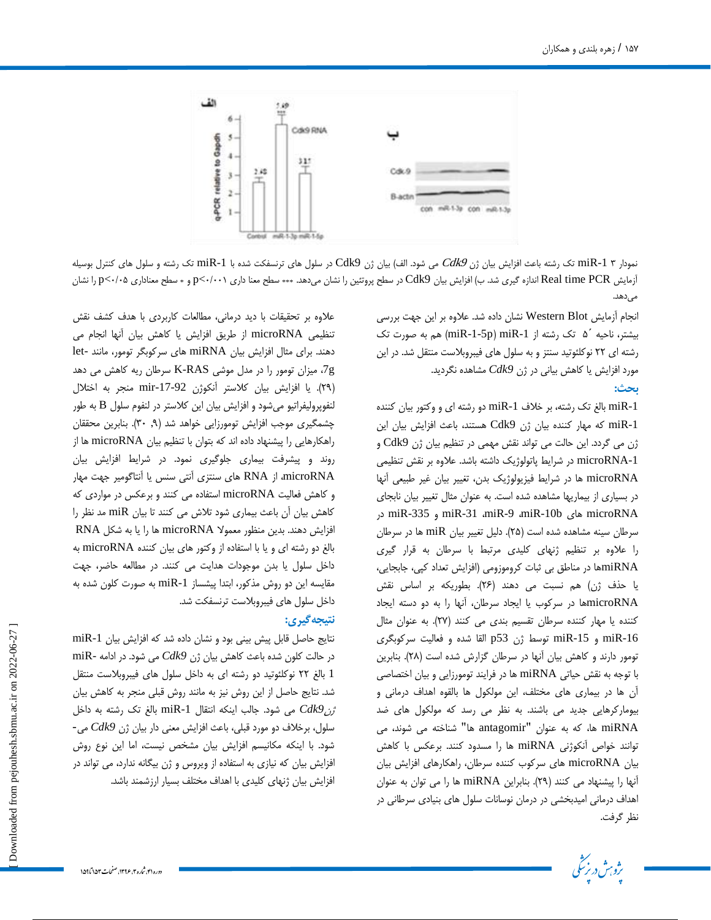

نمودار 1 miR-1 تک رشته باعث افزایش بیان ژن Cdk9 می شود. الف) بیان ژن Cdk9 در سلول های ترنسفکت شده با miR-1 تک رشته و سلول های کنترل بوسیله آزمایش Real time PCR اندازه گیری شد. ب) افزایش بیان Cdk9 در سطح پروتئین را نشان میدهد. \*\*\* سطح معنا داری 10/0-p و \* سطح معناداری 0/0<0 برا نشان مے ,دھد.

> انجام آزمایش Western Blot نشان داده شد. علاوه بر این جهت بررسی بیشتر، ناحیه ′۵ تک رشته از miR-1-5p) miR-1 هم به صورت تک رشته ای ٢٢ نوکلئوتید سنتز و به سلول های فیبروبلاست منتقل شد. در این هورد افزایش یا کاهش بیانی در ژن Cdk9 مشاهده نگردید. **بحث:** .

> miR-1 بالغ تک رشته، بر خلاف miR-1 دو رشته ای و وکتور بیان کننده miR-1 که مهار کننده بیان ژن Cdk9 هستند، باعث افزایش بیان این ژن می گردد. این حالت می تواند نقش مهمی در تنظیم بیان ژن Cdk9 و microRNA-1 در شرایط پاتولوژیک داشته باشد. علاوه بر نقش تنظیمی microRNA ها در شرایط فیزیولوژیک بدن، تغییر بیان غیر طبیعی آنها در بسیاری از بیماریها مشاهده شده است. به عنوان مثال تغییر بیان نابجای دس miR-335 ٍ miR-31 ،miR-9 ،miR-10b بیّ microRNA سرطان سینه مشاهده شده است (۲۵). دلیل تغییر بیان miR ها در سرطان را علاوه بر تنظیم ژنهای کلیدی مرتبط با سرطان به قرار گیری miRNAّبها در مناطق بی ثبات کروموزومی (افزایش تعداد کپی، جابجایی، یا حذف ژن) هم نسبت می دهند (۲۶). بطوریکه بر اساس نقش microRNAآبها در سرکوب یا ایجاد سرطان، آنها را به دو دسته ایجاد کننده یا مهار کننده سرطان تقسیم بندی می کنند (٢٧). به عنوان مثال miR-16 و 15-miR توسط ژن p53 القا شده و فعالیت سرکوبگری تومور دارند و کاهش بيان آنها در سرطان گزارش شده است (٢٨). بنابرين با توجه به نقش حیاتی miRNA ها در فرایند تومورزایی و بیان اختصاصی آن ها در بیماری های مختلف، این مولکول ها بالقوه اهداف درمانی و بیومارکرهایی جدید می باشند. به نظر می رسد که مولکول های ضد miRNA ها، که به عنوان "antagomir ها" شناخته می شوند، می توانند خواص آنکوژنی miRNA ها را مسدود کنند. برعکس با کاهش بیان microRNA های سرکوب کننده سرطان، راهکارهای افزایش بیان آنها را پیشنهاد می کنند (۲۹). بنابراین miRNA ها را می توان به عنوان اهداف درمانی امیدبخشی در درمان نوسانات سلول های بنیادی سرطانی در نظر گرفت.



علاوه بر تحقیقات با دید درمانی، مطالعات کاربردی با هدف کشف نقش تنظیمی microRNA از طریق افزایش یا کاهش بیان آنها انجام می دهند. برای مثال افزایش بیان miRNA های سرکوبگر تومور، مانند -let وج، میزان تومور را در مدل موشى K-RAS سرطان ریه كاهش می دهد (٢٩). یا افزایش بیان کلاستر آنکوژن mir-17-92 منجر به اختلال لنفوپرولیفراتیو میشود و افزایش بیان این کلاستر در لنفوم سلول B به طور چشمگیری موجب افزایش تومورزایی خواهد شد (۹, ۳۰). بنابرین محققان راهکارهایی را پیشنهاد داده اند که بتوان با تنظیم بیان microRNA ها از روند و پیشرفت بیماری جلوگیری نمود. در شرایط افزایش بیان microRNA، از RNA های سنتزی آنتی سنس یا آنتاگومیر جهت مهار و کاهش فعالیت microRNA استفاده می کنند و برعکس در مواردی که کاهش بیان آن باعث بیماری شود تلاش می کنند تا بیان miR مد نظر را افزایش دهند. بدین منظور معمولا microRNA ها را یا به شکل RNA بالغ دو رشته ای و یا با استفاده از وکتور های بیان کننده microRNA به داخل سلول یا بدن موجودات هدایت می کنند. در مطالعه حاضر، جهت مقایسه این دو روش مذکور، ابتدا پیشساز miR-1 به صورت کلون شده به داخل سلول های فیبروبلاست ترنسفکت شد.

## **نتیجهگیری:**

نتایج حاصل قابل پیش بینی بود و نشان داده شد که افزایش بیان miR-1 در حالت کلون شده باعث کاهش بیان ژن Cdk9 می شود. در ادامه -miR 1 بالغ ٢٢ نوكلئوتيد دو رشته ای به داخل سلول های فيبروبلاست منتقل شد. نتایج حاصل از این روش نیز به مانند روش قبلی منجر به کاهش بیان  $1$  شود. خلاب اینکه انتقال miR-1 بالغ تک رشته به داخل miR-1 سلول، برخلاف دو مورد قبلی، باعث افزایش معنی دار بیان ژن Cdk9 می-شود. با اینکه مکانیسم افزایش بیان مشخص نیست، اما این نوع روش افزایش بیان که نیازی به استفاده از ویروس و ژن بیگانه ندارد، می تواند در افزایش بیان ژنهای کلیدی با اهداف مختلف بسیار ارزشمند باشد.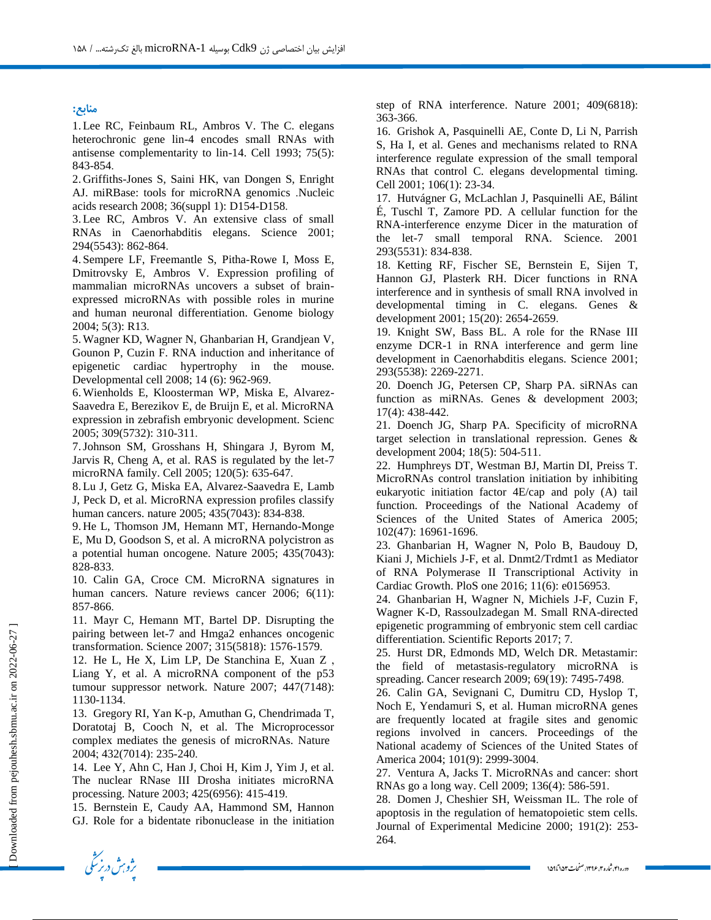#### **منببع:**

1.Lee RC, Feinbaum RL, Ambros V. The C. elegans heterochronic gene lin-4 encodes small RNAs with antisense complementarity to lin-14. Cell 1993; 75(5): 843-854.

2. Griffiths-Jones S, Saini HK, van Dongen S, Enright AJ. miRBase: tools for microRNA genomics .Nucleic acids research 2008; 36(suppl 1): D154-D158.

3.Lee RC, Ambros V. An extensive class of small RNAs in Caenorhabditis elegans. Science 2001; 294(5543): 862-864.

4. Sempere LF, Freemantle S, Pitha-Rowe I, Moss E, Dmitrovsky E, Ambros V. Expression profiling of mammalian microRNAs uncovers a subset of brainexpressed microRNAs with possible roles in murine and human neuronal differentiation. Genome biology 2004; 5(3): R13.

5.Wagner KD, Wagner N, Ghanbarian H, Grandjean V, Gounon P, Cuzin F. RNA induction and inheritance of epigenetic cardiac hypertrophy in the mouse. Developmental cell 2008; 14 (6): 962-969.

6.Wienholds E, Kloosterman WP, Miska E, Alvarez-Saavedra E, Berezikov E, de Bruijn E, et al. MicroRNA expression in zebrafish embryonic development. Scienc 2005; 309(5732): 310-311.

7.Johnson SM, Grosshans H, Shingara J, Byrom M, Jarvis R, Cheng A, et al. RAS is regulated by the let-7 microRNA family. Cell 2005; 120(5): 635-647.

8.Lu J, Getz G, Miska EA, Alvarez-Saavedra E, Lamb J, Peck D, et al. MicroRNA expression profiles classify human cancers. nature 2005; 435(7043): 834-838.

9. He L, Thomson JM, Hemann MT, Hernando-Monge E, Mu D, Goodson S, et al. A microRNA polycistron as a potential human oncogene. Nature 2005; 435(7043): 828-833.

10. Calin GA, Croce CM. MicroRNA signatures in human cancers. Nature reviews cancer 2006; 6(11): 857-866.

11. Mayr C, Hemann MT, Bartel DP. Disrupting the pairing between let-7 and Hmga2 enhances oncogenic transformation. Science 2007; 315(5818): 1576-1579.

12. He L, He X, Lim LP, De Stanchina E, Xuan Z , Liang Y, et al. A microRNA component of the p53 tumour suppressor network. Nature 2007; 447(7148): 1130-1134.

13. Gregory RI, Yan K-p, Amuthan G, Chendrimada T, Doratotaj B, Cooch N, et al. The Microprocessor complex mediates the genesis of microRNAs. Nature 2004; 432(7014): 235-240.

14. Lee Y, Ahn C, Han J, Choi H, Kim J, Yim J, et al. The nuclear RNase III Drosha initiates microRNA processing. Nature 2003; 425(6956): 415-419.

15. Bernstein E, Caudy AA, Hammond SM, Hannon GJ. Role for a bidentate ribonuclease in the initiation step of RNA interference. Nature 2001; 409(6818): 363-366.

16. Grishok A, Pasquinelli AE, Conte D, Li N, Parrish S, Ha I, et al. Genes and mechanisms related to RNA interference regulate expression of the small temporal RNAs that control C. elegans developmental timing. Cell 2001; 106(1): 23-34.

17. Hutvágner G, McLachlan J, Pasquinelli AE, Bálint É, Tuschl T, Zamore PD. A cellular function for the RNA-interference enzyme Dicer in the maturation of the let-7 small temporal RNA. Science. 2001 293(5531): 834-838.

18. Ketting RF, Fischer SE, Bernstein E, Sijen T, Hannon GJ, Plasterk RH. Dicer functions in RNA interference and in synthesis of small RNA involved in developmental timing in C. elegans. Genes & development 2001; 15(20): 2654-2659.

19. Knight SW, Bass BL. A role for the RNase III enzyme DCR-1 in RNA interference and germ line development in Caenorhabditis elegans. Science 2001; 293(5538): 2269-2271.

20. Doench JG, Petersen CP, Sharp PA. siRNAs can function as miRNAs. Genes & development 2003; 17(4): 438-442.

21. Doench JG, Sharp PA. Specificity of microRNA target selection in translational repression. Genes & development 2004; 18(5): 504-511.

22. Humphreys DT, Westman BJ, Martin DI, Preiss T. MicroRNAs control translation initiation by inhibiting eukaryotic initiation factor 4E/cap and poly (A) tail function. Proceedings of the National Academy of Sciences of the United States of America 2005; 102(47): 16961-1696.

23. Ghanbarian H, Wagner N, Polo B, Baudouy D, Kiani J, Michiels J-F, et al. Dnmt2/Trdmt1 as Mediator of RNA Polymerase II Transcriptional Activity in Cardiac Growth. PloS one 2016; 11(6): e0156953.

24. Ghanbarian H, Wagner N, Michiels J-F, Cuzin F, Wagner K-D, Rassoulzadegan M. Small RNA-directed epigenetic programming of embryonic stem cell cardiac differentiation. Scientific Reports 2017; 7.

25. Hurst DR, Edmonds MD, Welch DR. Metastamir: the field of metastasis-regulatory microRNA is spreading. Cancer research 2009; 69(19): 7495-7498.

26. Calin GA, Sevignani C, Dumitru CD, Hyslop T, Noch E, Yendamuri S, et al. Human microRNA genes are frequently located at fragile sites and genomic regions involved in cancers. Proceedings of the National academy of Sciences of the United States of America 2004; 101(9): 2999-3004.

27. Ventura A, Jacks T. MicroRNAs and cancer: short RNAs go a long way. Cell 2009; 136(4): 586-591.

28. Domen J, Cheshier SH, Weissman IL. The role of apoptosis in the regulation of hematopoietic stem cells. Journal of Experimental Medicine 2000; 191(2): 253- 264.